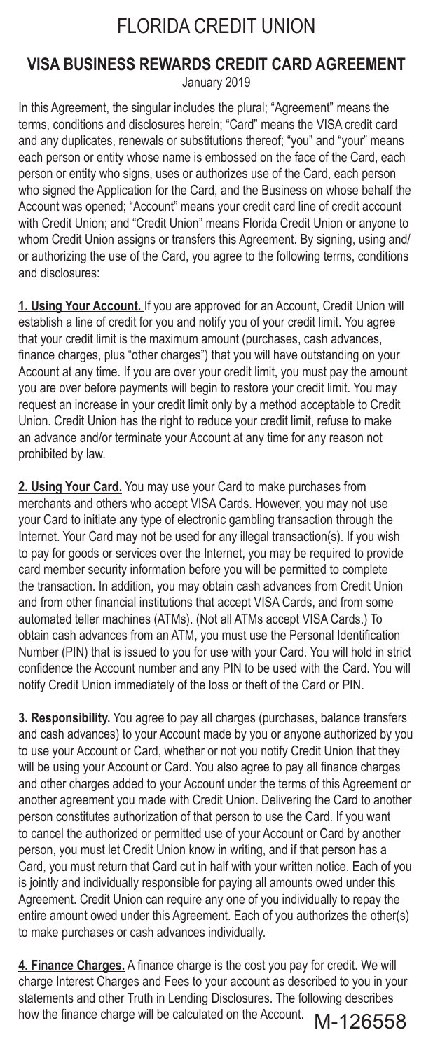# FLORIDA CREDIT UNION

### **VISA BUSINESS REWARDS CREDIT CARD AGREEMENT** January 2019

In this Agreement, the singular includes the plural; "Agreement" means the terms, conditions and disclosures herein; "Card" means the VISA credit card and any duplicates, renewals or substitutions thereof; "you" and "your" means each person or entity whose name is embossed on the face of the Card, each person or entity who signs, uses or authorizes use of the Card, each person who signed the Application for the Card, and the Business on whose behalf the Account was opened; "Account" means your credit card line of credit account with Credit Union; and "Credit Union" means Florida Credit Union or anyone to whom Credit Union assigns or transfers this Agreement. By signing, using and/ or authorizing the use of the Card, you agree to the following terms, conditions and disclosures:

**1. Using Your Account.** If you are approved for an Account, Credit Union will establish a line of credit for you and notify you of your credit limit. You agree that your credit limit is the maximum amount (purchases, cash advances, finance charges, plus "other charges") that you will have outstanding on your Account at any time. If you are over your credit limit, you must pay the amount you are over before payments will begin to restore your credit limit. You may request an increase in your credit limit only by a method acceptable to Credit Union. Credit Union has the right to reduce your credit limit, refuse to make an advance and/or terminate your Account at any time for any reason not prohibited by law.

**2. Using Your Card.** You may use your Card to make purchases from merchants and others who accept VISA Cards. However, you may not use your Card to initiate any type of electronic gambling transaction through the Internet. Your Card may not be used for any illegal transaction(s). If you wish to pay for goods or services over the Internet, you may be required to provide card member security information before you will be permitted to complete the transaction. In addition, you may obtain cash advances from Credit Union and from other financial institutions that accept VISA Cards, and from some automated teller machines (ATMs). (Not all ATMs accept VISA Cards.) To obtain cash advances from an ATM, you must use the Personal Identification Number (PIN) that is issued to you for use with your Card. You will hold in strict confidence the Account number and any PIN to be used with the Card. You will notify Credit Union immediately of the loss or theft of the Card or PIN.

**3. Responsibility.** You agree to pay all charges (purchases, balance transfers and cash advances) to your Account made by you or anyone authorized by you to use your Account or Card, whether or not you notify Credit Union that they will be using your Account or Card. You also agree to pay all finance charges and other charges added to your Account under the terms of this Agreement or another agreement you made with Credit Union. Delivering the Card to another person constitutes authorization of that person to use the Card. If you want to cancel the authorized or permitted use of your Account or Card by another person, you must let Credit Union know in writing, and if that person has a Card, you must return that Card cut in half with your written notice. Each of you is jointly and individually responsible for paying all amounts owed under this Agreement. Credit Union can require any one of you individually to repay the entire amount owed under this Agreement. Each of you authorizes the other(s) to make purchases or cash advances individually.

**4. Finance Charges.** A finance charge is the cost you pay for credit. We will charge Interest Charges and Fees to your account as described to you in your statements and other Truth in Lending Disclosures. The following describes how the finance charge will be calculated on the Account. M-126558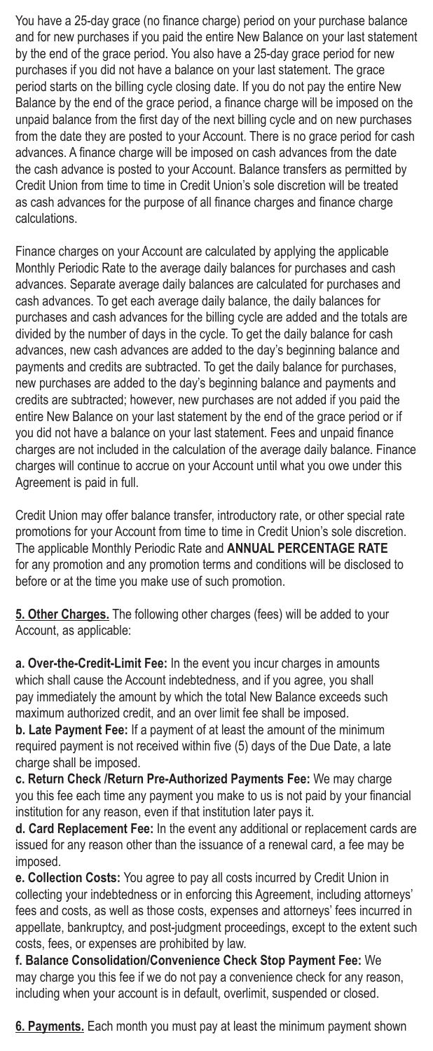You have a 25-day grace (no finance charge) period on your purchase balance and for new purchases if you paid the entire New Balance on your last statement by the end of the grace period. You also have a 25-day grace period for new purchases if you did not have a balance on your last statement. The grace period starts on the billing cycle closing date. If you do not pay the entire New Balance by the end of the grace period, a finance charge will be imposed on the unpaid balance from the first day of the next billing cycle and on new purchases from the date they are posted to your Account. There is no grace period for cash advances. A finance charge will be imposed on cash advances from the date the cash advance is posted to your Account. Balance transfers as permitted by Credit Union from time to time in Credit Union's sole discretion will be treated as cash advances for the purpose of all finance charges and finance charge calculations.

Finance charges on your Account are calculated by applying the applicable Monthly Periodic Rate to the average daily balances for purchases and cash advances. Separate average daily balances are calculated for purchases and cash advances. To get each average daily balance, the daily balances for purchases and cash advances for the billing cycle are added and the totals are divided by the number of days in the cycle. To get the daily balance for cash advances, new cash advances are added to the day's beginning balance and payments and credits are subtracted. To get the daily balance for purchases, new purchases are added to the day's beginning balance and payments and credits are subtracted; however, new purchases are not added if you paid the entire New Balance on your last statement by the end of the grace period or if you did not have a balance on your last statement. Fees and unpaid finance charges are not included in the calculation of the average daily balance. Finance charges will continue to accrue on your Account until what you owe under this Agreement is paid in full.

Credit Union may offer balance transfer, introductory rate, or other special rate promotions for your Account from time to time in Credit Union's sole discretion. The applicable Monthly Periodic Rate and **ANNUAL PERCENTAGE RATE** for any promotion and any promotion terms and conditions will be disclosed to before or at the time you make use of such promotion.

**5. Other Charges.** The following other charges (fees) will be added to your Account, as applicable:

**a. Over-the-Credit-Limit Fee:** In the event you incur charges in amounts which shall cause the Account indebtedness, and if you agree, you shall pay immediately the amount by which the total New Balance exceeds such maximum authorized credit, and an over limit fee shall be imposed.

**b. Late Payment Fee:** If a payment of at least the amount of the minimum required payment is not received within five (5) days of the Due Date, a late charge shall be imposed.

**c. Return Check /Return Pre-Authorized Payments Fee:** We may charge you this fee each time any payment you make to us is not paid by your financial institution for any reason, even if that institution later pays it.

**d. Card Replacement Fee:** In the event any additional or replacement cards are issued for any reason other than the issuance of a renewal card, a fee may be imposed.

**e. Collection Costs:** You agree to pay all costs incurred by Credit Union in collecting your indebtedness or in enforcing this Agreement, including attorneys' fees and costs, as well as those costs, expenses and attorneys' fees incurred in appellate, bankruptcy, and post-judgment proceedings, except to the extent such costs, fees, or expenses are prohibited by law.

**f. Balance Consolidation/Convenience Check Stop Payment Fee:** We may charge you this fee if we do not pay a convenience check for any reason, including when your account is in default, overlimit, suspended or closed.

**6. Payments.** Each month you must pay at least the minimum payment shown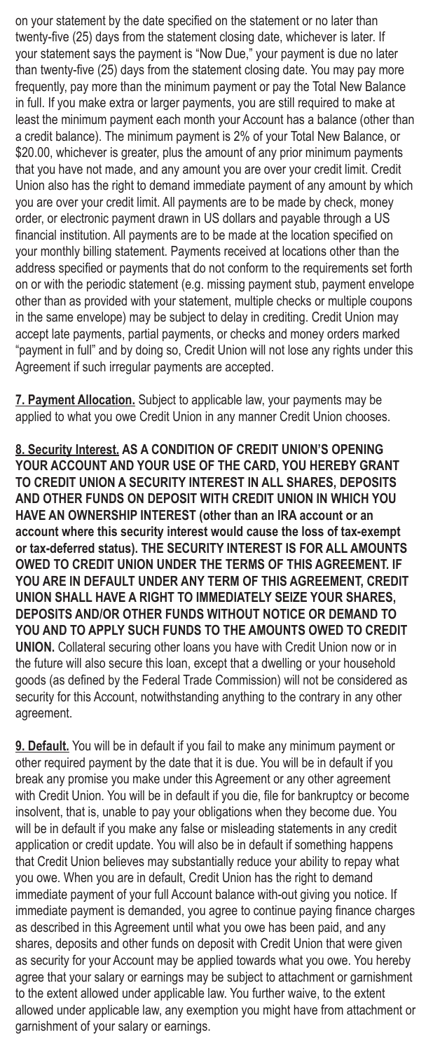on your statement by the date specified on the statement or no later than twenty-five (25) days from the statement closing date, whichever is later. If your statement says the payment is "Now Due," your payment is due no later than twenty-five (25) days from the statement closing date. You may pay more frequently, pay more than the minimum payment or pay the Total New Balance in full. If you make extra or larger payments, you are still required to make at least the minimum payment each month your Account has a balance (other than a credit balance). The minimum payment is 2% of your Total New Balance, or \$20.00, whichever is greater, plus the amount of any prior minimum payments that you have not made, and any amount you are over your credit limit. Credit Union also has the right to demand immediate payment of any amount by which you are over your credit limit. All payments are to be made by check, money order, or electronic payment drawn in US dollars and payable through a US financial institution. All payments are to be made at the location specified on your monthly billing statement. Payments received at locations other than the address specified or payments that do not conform to the requirements set forth on or with the periodic statement (e.g. missing payment stub, payment envelope other than as provided with your statement, multiple checks or multiple coupons in the same envelope) may be subject to delay in crediting. Credit Union may accept late payments, partial payments, or checks and money orders marked "payment in full" and by doing so, Credit Union will not lose any rights under this Agreement if such irregular payments are accepted.

**7. Payment Allocation.** Subject to applicable law, your payments may be applied to what you owe Credit Union in any manner Credit Union chooses.

**8. Security Interest. AS A CONDITION OF CREDIT UNION'S OPENING YOUR ACCOUNT AND YOUR USE OF THE CARD, YOU HEREBY GRANT TO CREDIT UNION A SECURITY INTEREST IN ALL SHARES, DEPOSITS AND OTHER FUNDS ON DEPOSIT WITH CREDIT UNION IN WHICH YOU HAVE AN OWNERSHIP INTEREST (other than an IRA account or an account where this security interest would cause the loss of tax-exempt or tax-deferred status). THE SECURITY INTEREST IS FOR ALL AMOUNTS OWED TO CREDIT UNION UNDER THE TERMS OF THIS AGREEMENT. IF YOU ARE IN DEFAULT UNDER ANY TERM OF THIS AGREEMENT, CREDIT UNION SHALL HAVE A RIGHT TO IMMEDIATELY SEIZE YOUR SHARES, DEPOSITS AND/OR OTHER FUNDS WITHOUT NOTICE OR DEMAND TO YOU AND TO APPLY SUCH FUNDS TO THE AMOUNTS OWED TO CREDIT UNION.** Collateral securing other loans you have with Credit Union now or in the future will also secure this loan, except that a dwelling or your household goods (as defined by the Federal Trade Commission) will not be considered as security for this Account, notwithstanding anything to the contrary in any other agreement.

**9. Default.** You will be in default if you fail to make any minimum payment or other required payment by the date that it is due. You will be in default if you break any promise you make under this Agreement or any other agreement with Credit Union. You will be in default if you die, file for bankruptcy or become insolvent, that is, unable to pay your obligations when they become due. You will be in default if you make any false or misleading statements in any credit application or credit update. You will also be in default if something happens that Credit Union believes may substantially reduce your ability to repay what you owe. When you are in default, Credit Union has the right to demand immediate payment of your full Account balance with-out giving you notice. If immediate payment is demanded, you agree to continue paying finance charges as described in this Agreement until what you owe has been paid, and any shares, deposits and other funds on deposit with Credit Union that were given as security for your Account may be applied towards what you owe. You hereby agree that your salary or earnings may be subject to attachment or garnishment to the extent allowed under applicable law. You further waive, to the extent allowed under applicable law, any exemption you might have from attachment or garnishment of your salary or earnings.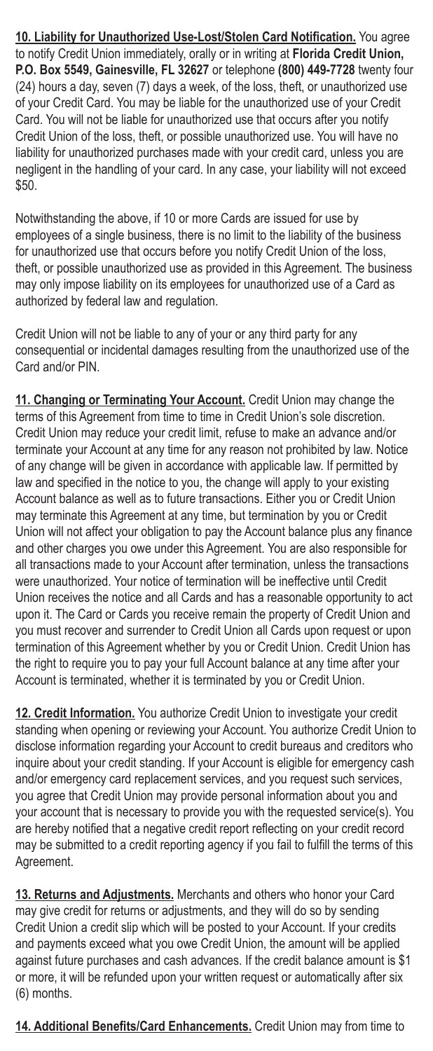**10. Liability for Unauthorized Use-Lost/Stolen Card Notification.** You agree to notify Credit Union immediately, orally or in writing at **Florida Credit Union, P.O. Box 5549, Gainesville, FL 32627** or telephone **(800) 449-7728** twenty four (24) hours a day, seven (7) days a week, of the loss, theft, or unauthorized use of your Credit Card. You may be liable for the unauthorized use of your Credit Card. You will not be liable for unauthorized use that occurs after you notify Credit Union of the loss, theft, or possible unauthorized use. You will have no liability for unauthorized purchases made with your credit card, unless you are negligent in the handling of your card. In any case, your liability will not exceed \$50.

Notwithstanding the above, if 10 or more Cards are issued for use by employees of a single business, there is no limit to the liability of the business for unauthorized use that occurs before you notify Credit Union of the loss, theft, or possible unauthorized use as provided in this Agreement. The business may only impose liability on its employees for unauthorized use of a Card as authorized by federal law and regulation.

Credit Union will not be liable to any of your or any third party for any consequential or incidental damages resulting from the unauthorized use of the Card and/or PIN.

**11. Changing or Terminating Your Account.** Credit Union may change the terms of this Agreement from time to time in Credit Union's sole discretion. Credit Union may reduce your credit limit, refuse to make an advance and/or terminate your Account at any time for any reason not prohibited by law. Notice of any change will be given in accordance with applicable law. If permitted by law and specified in the notice to you, the change will apply to your existing Account balance as well as to future transactions. Either you or Credit Union may terminate this Agreement at any time, but termination by you or Credit Union will not affect your obligation to pay the Account balance plus any finance and other charges you owe under this Agreement. You are also responsible for all transactions made to your Account after termination, unless the transactions were unauthorized. Your notice of termination will be ineffective until Credit Union receives the notice and all Cards and has a reasonable opportunity to act upon it. The Card or Cards you receive remain the property of Credit Union and you must recover and surrender to Credit Union all Cards upon request or upon termination of this Agreement whether by you or Credit Union. Credit Union has the right to require you to pay your full Account balance at any time after your Account is terminated, whether it is terminated by you or Credit Union.

**12. Credit Information.** You authorize Credit Union to investigate your credit standing when opening or reviewing your Account. You authorize Credit Union to disclose information regarding your Account to credit bureaus and creditors who inquire about your credit standing. If your Account is eligible for emergency cash and/or emergency card replacement services, and you request such services, you agree that Credit Union may provide personal information about you and your account that is necessary to provide you with the requested service(s). You are hereby notified that a negative credit report reflecting on your credit record may be submitted to a credit reporting agency if you fail to fulfill the terms of this Agreement.

**13. Returns and Adjustments.** Merchants and others who honor your Card may give credit for returns or adjustments, and they will do so by sending Credit Union a credit slip which will be posted to your Account. If your credits and payments exceed what you owe Credit Union, the amount will be applied against future purchases and cash advances. If the credit balance amount is \$1 or more, it will be refunded upon your written request or automatically after six (6) months.

**14. Additional Benefits/Card Enhancements.** Credit Union may from time to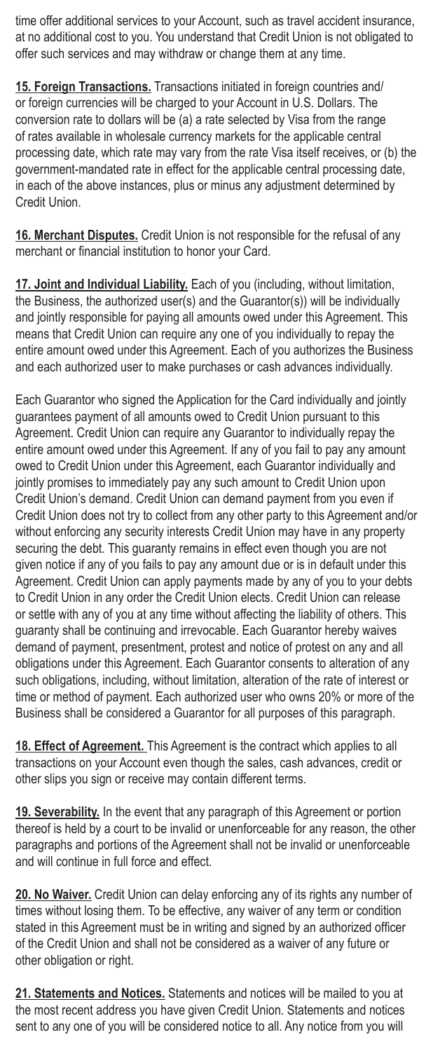time offer additional services to your Account, such as travel accident insurance, at no additional cost to you. You understand that Credit Union is not obligated to offer such services and may withdraw or change them at any time.

**15. Foreign Transactions.** Transactions initiated in foreign countries and/ or foreign currencies will be charged to your Account in U.S. Dollars. The conversion rate to dollars will be (a) a rate selected by Visa from the range of rates available in wholesale currency markets for the applicable central processing date, which rate may vary from the rate Visa itself receives, or (b) the government-mandated rate in effect for the applicable central processing date, in each of the above instances, plus or minus any adjustment determined by Credit Union.

**16. Merchant Disputes.** Credit Union is not responsible for the refusal of any merchant or financial institution to honor your Card.

**17. Joint and Individual Liability.** Each of you (including, without limitation, the Business, the authorized user(s) and the Guarantor(s)) will be individually and jointly responsible for paying all amounts owed under this Agreement. This means that Credit Union can require any one of you individually to repay the entire amount owed under this Agreement. Each of you authorizes the Business and each authorized user to make purchases or cash advances individually.

Each Guarantor who signed the Application for the Card individually and jointly guarantees payment of all amounts owed to Credit Union pursuant to this Agreement. Credit Union can require any Guarantor to individually repay the entire amount owed under this Agreement. If any of you fail to pay any amount owed to Credit Union under this Agreement, each Guarantor individually and jointly promises to immediately pay any such amount to Credit Union upon Credit Union's demand. Credit Union can demand payment from you even if Credit Union does not try to collect from any other party to this Agreement and/or without enforcing any security interests Credit Union may have in any property securing the debt. This guaranty remains in effect even though you are not given notice if any of you fails to pay any amount due or is in default under this Agreement. Credit Union can apply payments made by any of you to your debts to Credit Union in any order the Credit Union elects. Credit Union can release or settle with any of you at any time without affecting the liability of others. This guaranty shall be continuing and irrevocable. Each Guarantor hereby waives demand of payment, presentment, protest and notice of protest on any and all obligations under this Agreement. Each Guarantor consents to alteration of any such obligations, including, without limitation, alteration of the rate of interest or time or method of payment. Each authorized user who owns 20% or more of the Business shall be considered a Guarantor for all purposes of this paragraph.

**18. Effect of Agreement.** This Agreement is the contract which applies to all transactions on your Account even though the sales, cash advances, credit or other slips you sign or receive may contain different terms.

**19. Severability.** In the event that any paragraph of this Agreement or portion thereof is held by a court to be invalid or unenforceable for any reason, the other paragraphs and portions of the Agreement shall not be invalid or unenforceable and will continue in full force and effect.

**20. No Waiver.** Credit Union can delay enforcing any of its rights any number of times without losing them. To be effective, any waiver of any term or condition stated in this Agreement must be in writing and signed by an authorized officer of the Credit Union and shall not be considered as a waiver of any future or other obligation or right.

**21. Statements and Notices.** Statements and notices will be mailed to you at the most recent address you have given Credit Union. Statements and notices sent to any one of you will be considered notice to all. Any notice from you will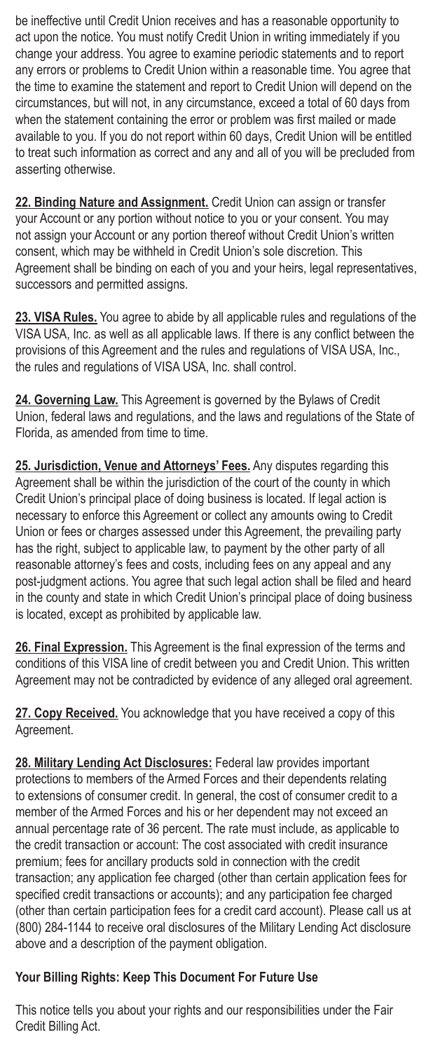be ineffective until Credit Union receives and has a reasonable opportunity to act upon the notice. You must notify Credit Union in writing immediately if you change your address. You agree to examine periodic statements and to report any errors or problems to Credit Union within a reasonable time. You agree that the time to examine the statement and report to Credit Union will depend on the circumstances, but will not, in any circumstance, exceed a total of 60 days from when the statement containing the error or problem was first mailed or made available to you. If you do not report within 60 days, Credit Union will be entitled to treat such information as correct and any and all of you will be precluded from asserting otherwise.

**22. Binding Nature and Assignment.** Credit Union can assign or transfer your Account or any portion without notice to you or your consent. You may not assign your Account or any portion thereof without Credit Union's written consent, which may be withheld in Credit Union's sole discretion. This Agreement shall be binding on each of you and your heirs, legal representatives, successors and permitted assigns.

**23. VISA Rules.** You agree to abide by all applicable rules and regulations of the VISA USA, Inc. as well as all applicable laws. If there is any conflict between the provisions of this Agreement and the rules and regulations of VISA USA, Inc., the rules and regulations of VISA USA, Inc. shall control.

**24. Governing Law.** This Agreement is governed by the Bylaws of Credit Union, federal laws and regulations, and the laws and regulations of the State of Florida, as amended from time to time.

**25. Jurisdiction, Venue and Attorneys' Fees.** Any disputes regarding this Agreement shall be within the jurisdiction of the court of the county in which Credit Union's principal place of doing business is located. If legal action is necessary to enforce this Agreement or collect any amounts owing to Credit Union or fees or charges assessed under this Agreement, the prevailing party has the right, subject to applicable law, to payment by the other party of all reasonable attorney's fees and costs, including fees on any appeal and any post-judgment actions. You agree that such legal action shall be filed and heard in the county and state in which Credit Union's principal place of doing business is located, except as prohibited by applicable law.

**26. Final Expression.** This Agreement is the final expression of the terms and conditions of this VISA line of credit between you and Credit Union. This written Agreement may not be contradicted by evidence of any alleged oral agreement.

**27. Copy Received.** You acknowledge that you have received a copy of this Agreement.

**28. Military Lending Act Disclosures:** Federal law provides important protections to members of the Armed Forces and their dependents relating to extensions of consumer credit. In general, the cost of consumer credit to a member of the Armed Forces and his or her dependent may not exceed an annual percentage rate of 36 percent. The rate must include, as applicable to the credit transaction or account: The cost associated with credit insurance premium; fees for ancillary products sold in connection with the credit transaction; any application fee charged (other than certain application fees for specified credit transactions or accounts); and any participation fee charged (other than certain participation fees for a credit card account). Please call us at (800) 284-1144 to receive oral disclosures of the Military Lending Act disclosure above and a description of the payment obligation.

## **Your Billing Rights: Keep This Document For Future Use**

This notice tells you about your rights and our responsibilities under the Fair Credit Billing Act.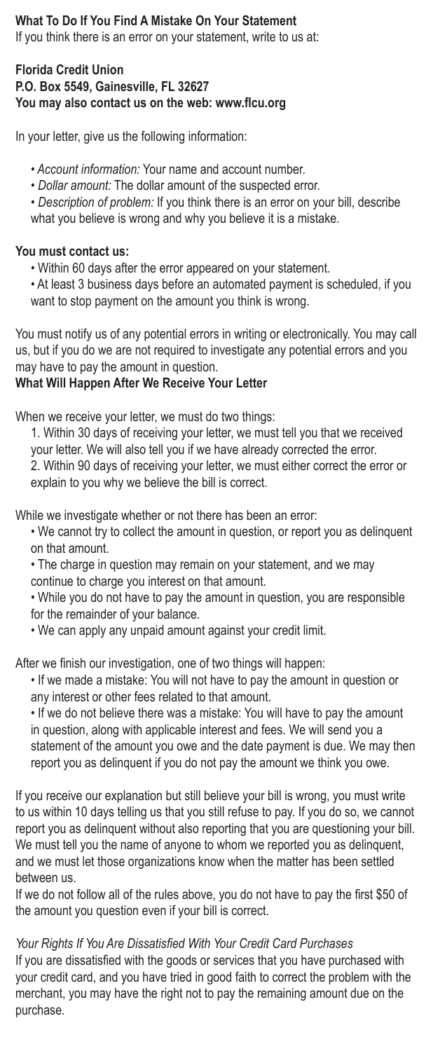# **What To Do If You Find A Mistake On Your Statement**

If you think there is an error on your statement, write to us at:

#### **Florida Credit Union P.O. Box 5549, Gainesville, FL 32627 You may also contact us on the web: www.flcu.org**

In your letter, give us the following information:

- • *Account information:* Your name and account number.
- *Dollar amount:* The dollar amount of the suspected error.
- *Description of problem:* If you think there is an error on your bill, describe what you believe is wrong and why you believe it is a mistake.

#### **You must contact us:**

- Within 60 days after the error appeared on your statement.
- At least 3 business days before an automated payment is scheduled, if you want to stop payment on the amount you think is wrong.

You must notify us of any potential errors in writing or electronically. You may call us, but if you do we are not required to investigate any potential errors and you may have to pay the amount in question.

#### **What Will Happen After We Receive Your Letter**

When we receive your letter, we must do two things:

1. Within 30 days of receiving your letter, we must tell you that we received your letter. We will also tell you if we have already corrected the error. 2. Within 90 days of receiving your letter, we must either correct the error or explain to you why we believe the bill is correct.

While we investigate whether or not there has been an error:

• We cannot try to collect the amount in question, or report you as delinquent on that amount.

• The charge in question may remain on your statement, and we may continue to charge you interest on that amount.

• While you do not have to pay the amount in question, you are responsible for the remainder of your balance.

• We can apply any unpaid amount against your credit limit.

After we finish our investigation, one of two things will happen:

• If we made a mistake: You will not have to pay the amount in question or any interest or other fees related to that amount.

• If we do not believe there was a mistake: You will have to pay the amount in question, along with applicable interest and fees. We will send you a statement of the amount you owe and the date payment is due. We may then report you as delinquent if you do not pay the amount we think you owe.

If you receive our explanation but still believe your bill is wrong, you must write to us within 10 days telling us that you still refuse to pay. If you do so, we cannot report you as delinquent without also reporting that you are questioning your bill. We must tell you the name of anyone to whom we reported you as delinquent, and we must let those organizations know when the matter has been settled between us.

If we do not follow all of the rules above, you do not have to pay the first \$50 of the amount you question even if your bill is correct.

*Your Rights If You Are Dissatisfied With Your Credit Card Purchases* If you are dissatisfied with the goods or services that you have purchased with your credit card, and you have tried in good faith to correct the problem with the merchant, you may have the right not to pay the remaining amount due on the purchase.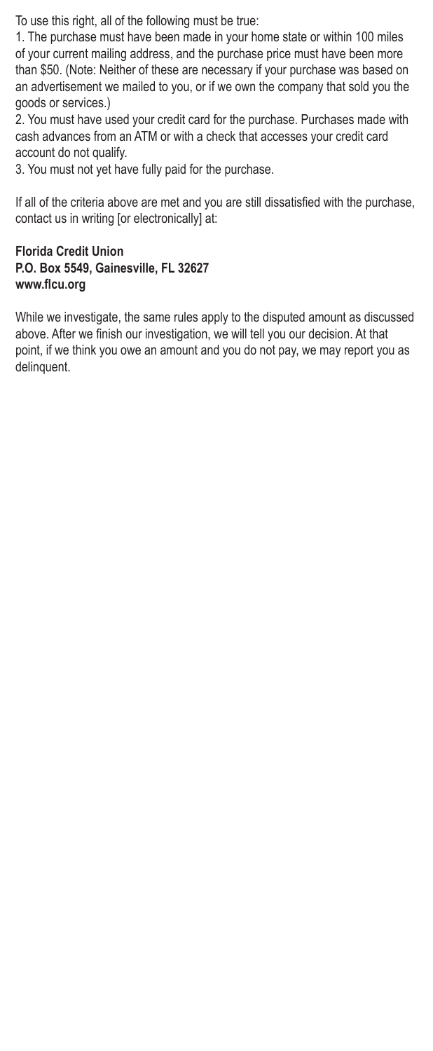To use this right, all of the following must be true:

1. The purchase must have been made in your home state or within 100 miles of your current mailing address, and the purchase price must have been more than \$50. (Note: Neither of these are necessary if your purchase was based on an advertisement we mailed to you, or if we own the company that sold you the goods or services.)

2. You must have used your credit card for the purchase. Purchases made with cash advances from an ATM or with a check that accesses your credit card account do not qualify.

3. You must not yet have fully paid for the purchase.

If all of the criteria above are met and you are still dissatisfied with the purchase, contact us in writing [or electronically] at:

#### **Florida Credit Union P.O. Box 5549, Gainesville, FL 32627 www.flcu.org**

While we investigate, the same rules apply to the disputed amount as discussed above. After we finish our investigation, we will tell you our decision. At that point, if we think you owe an amount and you do not pay, we may report you as delinquent.